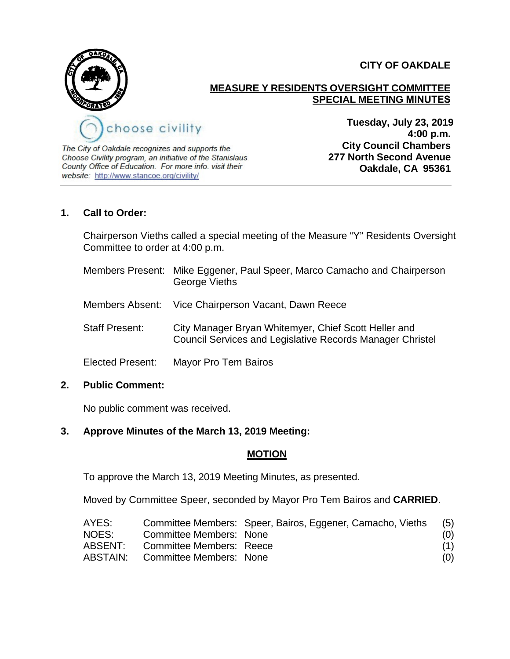



# **MEASURE Y RESIDENTS OVERSIGHT COMMITTEE SPECIAL MEETING MINUTES**

The City of Oakdale recognizes and supports the Choose Civility program, an initiative of the Stanislaus County Office of Education. For more info. visit their website: http://www.stancoe.org/civility/

**Tuesday, July 23, 2019 4:00 p.m. City Council Chambers 277 North Second Avenue Oakdale, CA 95361**

### **1. Call to Order:**

Chairperson Vieths called a special meeting of the Measure "Y" Residents Oversight Committee to order at 4:00 p.m.

- Members Present: Mike Eggener, Paul Speer, Marco Camacho and Chairperson George Vieths
- Members Absent: Vice Chairperson Vacant, Dawn Reece
- Staff Present: City Manager Bryan Whitemyer, Chief Scott Heller and Council Services and Legislative Records Manager Christel
- Elected Present: Mayor Pro Tem Bairos

#### **2. Public Comment:**

No public comment was received.

## **3. Approve Minutes of the March 13, 2019 Meeting:**

#### **MOTION**

To approve the March 13, 2019 Meeting Minutes, as presented.

Moved by Committee Speer, seconded by Mayor Pro Tem Bairos and **CARRIED**.

| AYES:   |                                         | Committee Members: Speer, Bairos, Eggener, Camacho, Vieths | (5) |
|---------|-----------------------------------------|------------------------------------------------------------|-----|
| NOES:   | Committee Members: None                 |                                                            | (0) |
| ABSENT: | Committee Members: Reece                |                                                            | (1) |
|         | <b>ABSTAIN:</b> Committee Members: None |                                                            | (0) |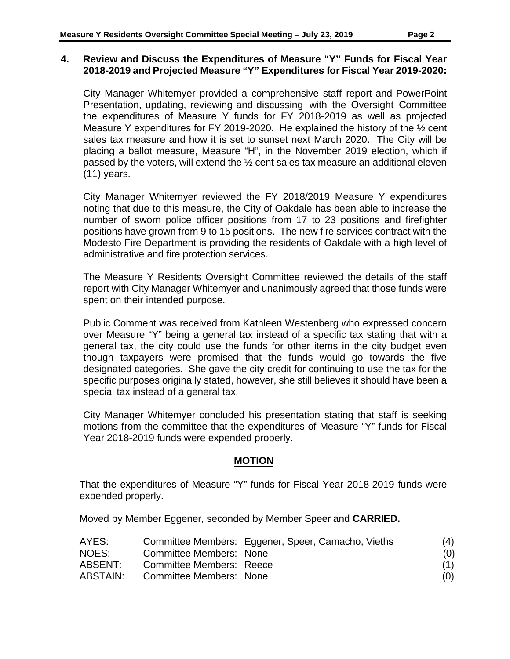#### **4. Review and Discuss the Expenditures of Measure "Y" Funds for Fiscal Year 2018-2019 and Projected Measure "Y" Expenditures for Fiscal Year 2019-2020:**

City Manager Whitemyer provided a comprehensive staff report and PowerPoint Presentation, updating, reviewing and discussing with the Oversight Committee the expenditures of Measure Y funds for FY 2018-2019 as well as projected Measure Y expenditures for FY 2019-2020. He explained the history of the ½ cent sales tax measure and how it is set to sunset next March 2020. The City will be placing a ballot measure, Measure "H", in the November 2019 election, which if passed by the voters, will extend the ½ cent sales tax measure an additional eleven (11) years.

City Manager Whitemyer reviewed the FY 2018/2019 Measure Y expenditures noting that due to this measure, the City of Oakdale has been able to increase the number of sworn police officer positions from 17 to 23 positions and firefighter positions have grown from 9 to 15 positions. The new fire services contract with the Modesto Fire Department is providing the residents of Oakdale with a high level of administrative and fire protection services.

The Measure Y Residents Oversight Committee reviewed the details of the staff report with City Manager Whitemyer and unanimously agreed that those funds were spent on their intended purpose.

Public Comment was received from Kathleen Westenberg who expressed concern over Measure "Y" being a general tax instead of a specific tax stating that with a general tax, the city could use the funds for other items in the city budget even though taxpayers were promised that the funds would go towards the five designated categories. She gave the city credit for continuing to use the tax for the specific purposes originally stated, however, she still believes it should have been a special tax instead of a general tax.

City Manager Whitemyer concluded his presentation stating that staff is seeking motions from the committee that the expenditures of Measure "Y" funds for Fiscal Year 2018-2019 funds were expended properly.

#### **MOTION**

That the expenditures of Measure "Y" funds for Fiscal Year 2018-2019 funds were expended properly.

Moved by Member Eggener, seconded by Member Speer and **CARRIED.**

| AYES:    |                                | Committee Members: Eggener, Speer, Camacho, Vieths | (4) |
|----------|--------------------------------|----------------------------------------------------|-----|
| NOES:    | Committee Members: None        |                                                    | (0) |
| ABSENT:  | Committee Members: Reece       |                                                    | (1) |
| ABSTAIN: | <b>Committee Members: None</b> |                                                    | (0) |